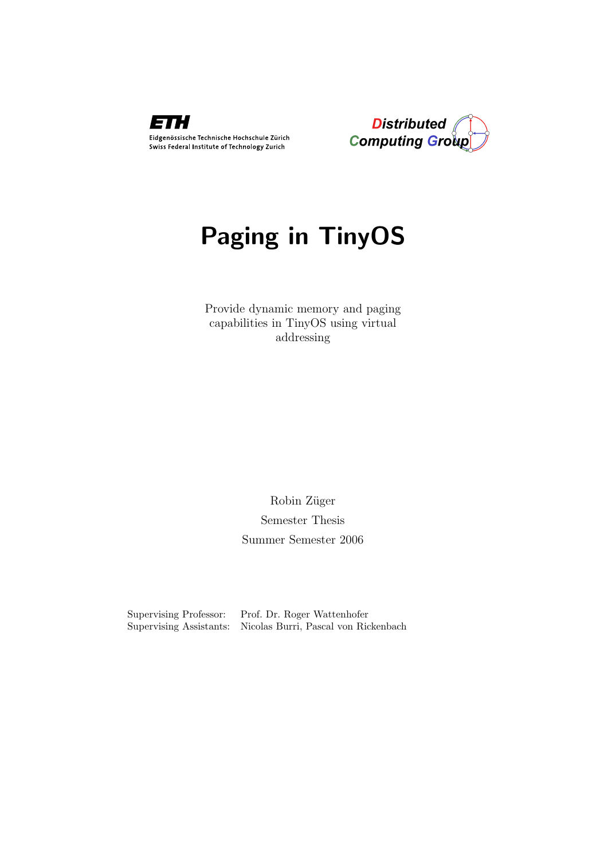



# Paging in TinyOS

Provide dynamic memory and paging capabilities in TinyOS using virtual addressing

> Robin Züger Semester Thesis Summer Semester 2006

Supervising Professor: Prof. Dr. Roger Wattenhofer Supervising Assistants: Nicolas Burri, Pascal von Rickenbach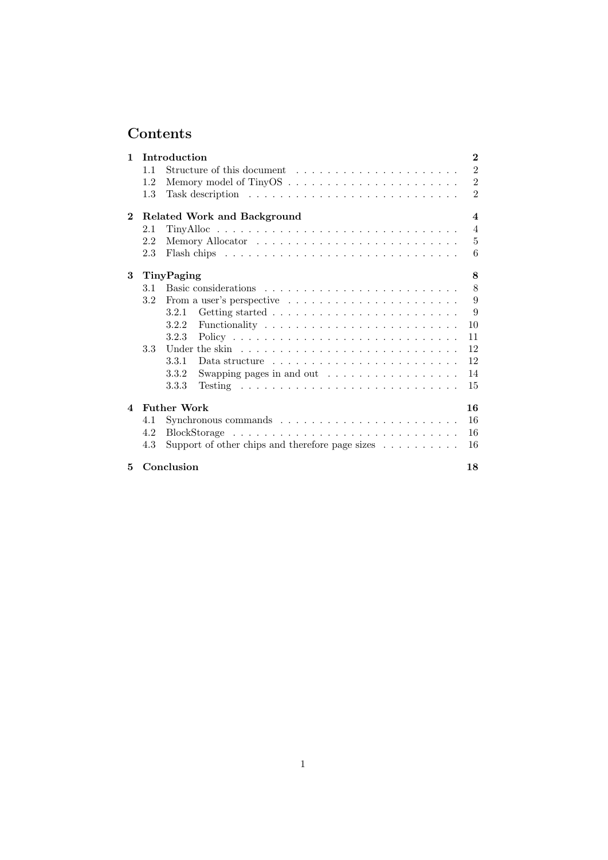## Contents

| $\mathbf{1}$           | Introduction                                           |                                                                              | $\bf{2}$       |
|------------------------|--------------------------------------------------------|------------------------------------------------------------------------------|----------------|
|                        | 11                                                     |                                                                              | $\overline{2}$ |
|                        | 1.2                                                    |                                                                              | $\overline{2}$ |
|                        | 1.3                                                    |                                                                              | $\overline{2}$ |
| $\overline{2}$         | Related Work and Background<br>$\overline{\mathbf{4}}$ |                                                                              |                |
|                        | 2.1                                                    |                                                                              | $\overline{4}$ |
|                        | 2.2                                                    |                                                                              | $\overline{5}$ |
|                        | 2.3                                                    |                                                                              | 6              |
| 3                      | 8<br>TinyPaging                                        |                                                                              |                |
|                        | 3.1                                                    |                                                                              | 8              |
|                        | 3.2                                                    | From a user's perspective $\ldots \ldots \ldots \ldots \ldots \ldots \ldots$ | 9              |
|                        |                                                        | 3.2.1                                                                        | 9              |
|                        |                                                        | 3.2.2                                                                        | 10             |
|                        |                                                        | 3.2.3                                                                        | 11             |
|                        | 3.3                                                    |                                                                              | 12             |
|                        |                                                        | 3.3.1<br>Data structure $\ldots \ldots \ldots \ldots \ldots \ldots \ldots$   | 12             |
|                        |                                                        | 3.3.2<br>Swapping pages in and out $\dots \dots \dots \dots \dots$           | 14             |
|                        |                                                        | 3.3.3                                                                        | 15             |
| $\boldsymbol{\Lambda}$ | <b>Futher Work</b>                                     |                                                                              | 16             |
|                        | 4.1                                                    |                                                                              | 16             |
|                        | 4.2                                                    |                                                                              | 16             |
|                        | 4.3                                                    | Support of other chips and therefore page sizes $\dots \dots \dots$          | 16             |
| 5.                     |                                                        | Conclusion                                                                   | 18             |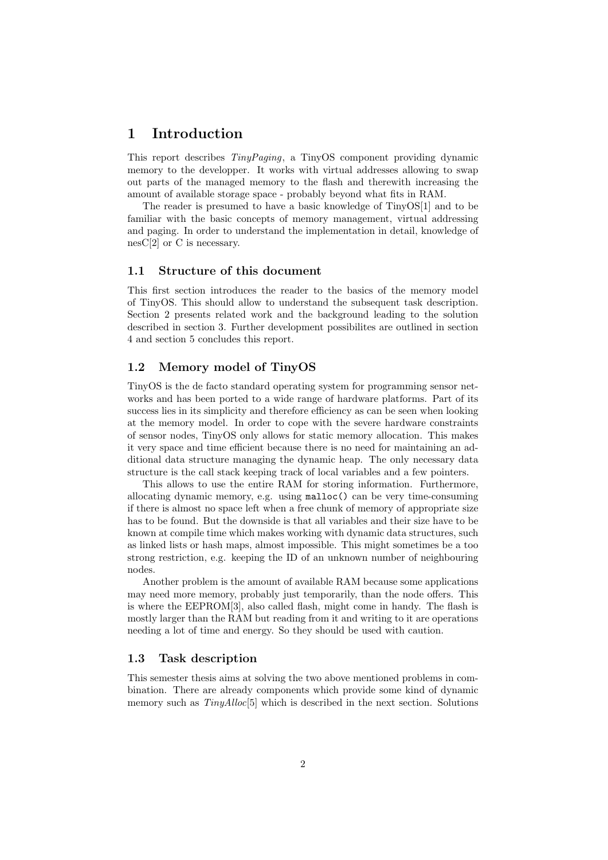## 1 Introduction

This report describes TinyPaging, a TinyOS component providing dynamic memory to the developper. It works with virtual addresses allowing to swap out parts of the managed memory to the flash and therewith increasing the amount of available storage space - probably beyond what fits in RAM.

The reader is presumed to have a basic knowledge of TinyOS[1] and to be familiar with the basic concepts of memory management, virtual addressing and paging. In order to understand the implementation in detail, knowledge of nesC[2] or C is necessary.

#### 1.1 Structure of this document

This first section introduces the reader to the basics of the memory model of TinyOS. This should allow to understand the subsequent task description. Section 2 presents related work and the background leading to the solution described in section 3. Further development possibilites are outlined in section 4 and section 5 concludes this report.

#### 1.2 Memory model of TinyOS

TinyOS is the de facto standard operating system for programming sensor networks and has been ported to a wide range of hardware platforms. Part of its success lies in its simplicity and therefore efficiency as can be seen when looking at the memory model. In order to cope with the severe hardware constraints of sensor nodes, TinyOS only allows for static memory allocation. This makes it very space and time efficient because there is no need for maintaining an additional data structure managing the dynamic heap. The only necessary data structure is the call stack keeping track of local variables and a few pointers.

This allows to use the entire RAM for storing information. Furthermore, allocating dynamic memory, e.g. using malloc() can be very time-consuming if there is almost no space left when a free chunk of memory of appropriate size has to be found. But the downside is that all variables and their size have to be known at compile time which makes working with dynamic data structures, such as linked lists or hash maps, almost impossible. This might sometimes be a too strong restriction, e.g. keeping the ID of an unknown number of neighbouring nodes.

Another problem is the amount of available RAM because some applications may need more memory, probably just temporarily, than the node offers. This is where the EEPROM[3], also called flash, might come in handy. The flash is mostly larger than the RAM but reading from it and writing to it are operations needing a lot of time and energy. So they should be used with caution.

#### 1.3 Task description

This semester thesis aims at solving the two above mentioned problems in combination. There are already components which provide some kind of dynamic memory such as  $TinyAlloc[5]$  which is described in the next section. Solutions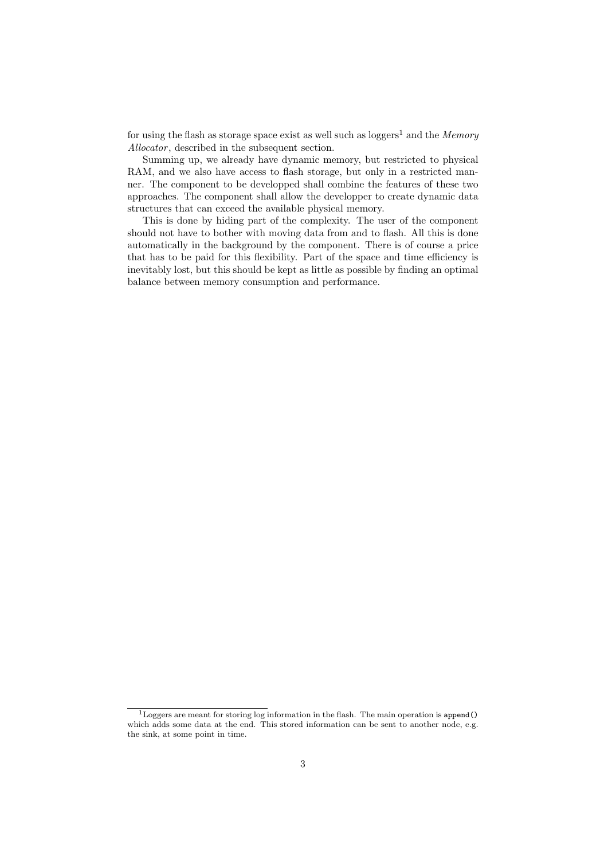for using the flash as storage space exist as well such as  $loggers<sup>1</sup>$  and the *Memory* Allocator, described in the subsequent section.

Summing up, we already have dynamic memory, but restricted to physical RAM, and we also have access to flash storage, but only in a restricted manner. The component to be developped shall combine the features of these two approaches. The component shall allow the developper to create dynamic data structures that can exceed the available physical memory.

This is done by hiding part of the complexity. The user of the component should not have to bother with moving data from and to flash. All this is done automatically in the background by the component. There is of course a price that has to be paid for this flexibility. Part of the space and time efficiency is inevitably lost, but this should be kept as little as possible by finding an optimal balance between memory consumption and performance.

<sup>1</sup>Loggers are meant for storing log information in the flash. The main operation is append() which adds some data at the end. This stored information can be sent to another node, e.g. the sink, at some point in time.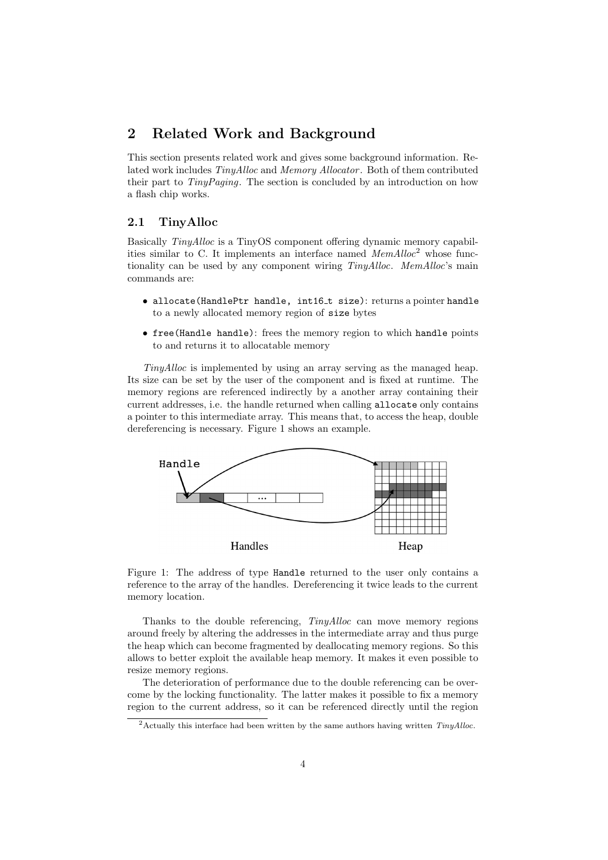## 2 Related Work and Background

This section presents related work and gives some background information. Related work includes  $TinyAlloc$  and Memory Allocator. Both of them contributed their part to TinyPaging. The section is concluded by an introduction on how a flash chip works.

#### 2.1 TinyAlloc

Basically TinyAlloc is a TinyOS component offering dynamic memory capabilities similar to C. It implements an interface named  $MemAlloc<sup>2</sup>$  whose functionality can be used by any component wiring *TinyAlloc. MemAlloc*'s main commands are:

- allocate(HandlePtr handle, int16\_t size): returns a pointer handle to a newly allocated memory region of size bytes
- free(Handle handle): frees the memory region to which handle points to and returns it to allocatable memory

TinyAlloc is implemented by using an array serving as the managed heap. Its size can be set by the user of the component and is fixed at runtime. The memory regions are referenced indirectly by a another array containing their current addresses, i.e. the handle returned when calling allocate only contains a pointer to this intermediate array. This means that, to access the heap, double dereferencing is necessary. Figure 1 shows an example.



Figure 1: The address of type Handle returned to the user only contains a reference to the array of the handles. Dereferencing it twice leads to the current memory location.

Thanks to the double referencing, TinyAlloc can move memory regions around freely by altering the addresses in the intermediate array and thus purge the heap which can become fragmented by deallocating memory regions. So this allows to better exploit the available heap memory. It makes it even possible to resize memory regions.

The deterioration of performance due to the double referencing can be overcome by the locking functionality. The latter makes it possible to fix a memory region to the current address, so it can be referenced directly until the region

<sup>&</sup>lt;sup>2</sup>Actually this interface had been written by the same authors having written  $T_{inu}$ Alloc.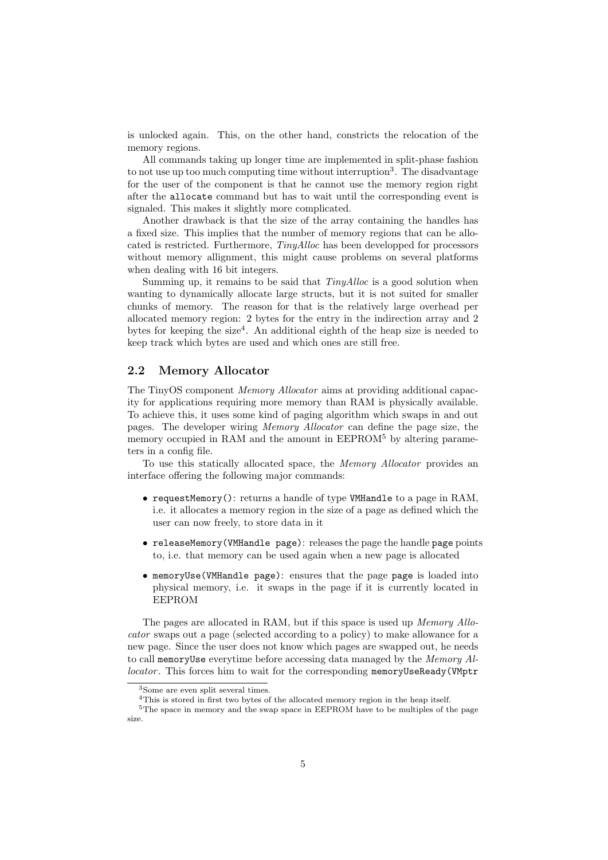is unlocked again. This, on the other hand, constricts the relocation of the memory regions.

All commands taking up longer time are implemented in split-phase fashion to not use up too much computing time without interruption<sup>3</sup>. The disadvantage for the user of the component is that he cannot use the memory region right after the allocate command but has to wait until the corresponding event is signaled. This makes it slightly more complicated.

Another drawback is that the size of the array containing the handles has a fixed size. This implies that the number of memory regions that can be allocated is restricted. Furthermore, TinyAlloc has been developped for processors without memory allignment, this might cause problems on several platforms when dealing with 16 bit integers.

Summing up, it remains to be said that  $TinyAlloc$  is a good solution when wanting to dynamically allocate large structs, but it is not suited for smaller chunks of memory. The reason for that is the relatively large overhead per allocated memory region: 2 bytes for the entry in the indirection array and 2 bytes for keeping the size<sup>4</sup>. An additional eighth of the heap size is needed to keep track which bytes are used and which ones are still free.

#### 2.2 Memory Allocator

The TinyOS component Memory Allocator aims at providing additional capacity for applications requiring more memory than RAM is physically available. To achieve this, it uses some kind of paging algorithm which swaps in and out pages. The developer wiring Memory Allocator can define the page size, the memory occupied in RAM and the amount in EEPROM<sup>5</sup> by altering parameters in a config file.

To use this statically allocated space, the Memory Allocator provides an interface offering the following major commands:

- requestMemory(): returns a handle of type VMHandle to a page in RAM, i.e. it allocates a memory region in the size of a page as defined which the user can now freely, to store data in it
- releaseMemory(VMHandle page): releases the page the handle page points to, i.e. that memory can be used again when a new page is allocated
- memoryUse(VMHandle page): ensures that the page page is loaded into physical memory, i.e. it swaps in the page if it is currently located in EEPROM

The pages are allocated in RAM, but if this space is used up Memory Allocator swaps out a page (selected according to a policy) to make allowance for a new page. Since the user does not know which pages are swapped out, he needs to call memoryUse everytime before accessing data managed by the Memory Allocator. This forces him to wait for the corresponding memoryUseReady(VMptr

<sup>3</sup>Some are even split several times.

<sup>&</sup>lt;sup>4</sup>This is stored in first two bytes of the allocated memory region in the heap itself.

<sup>&</sup>lt;sup>5</sup>The space in memory and the swap space in EEPROM have to be multiples of the page size.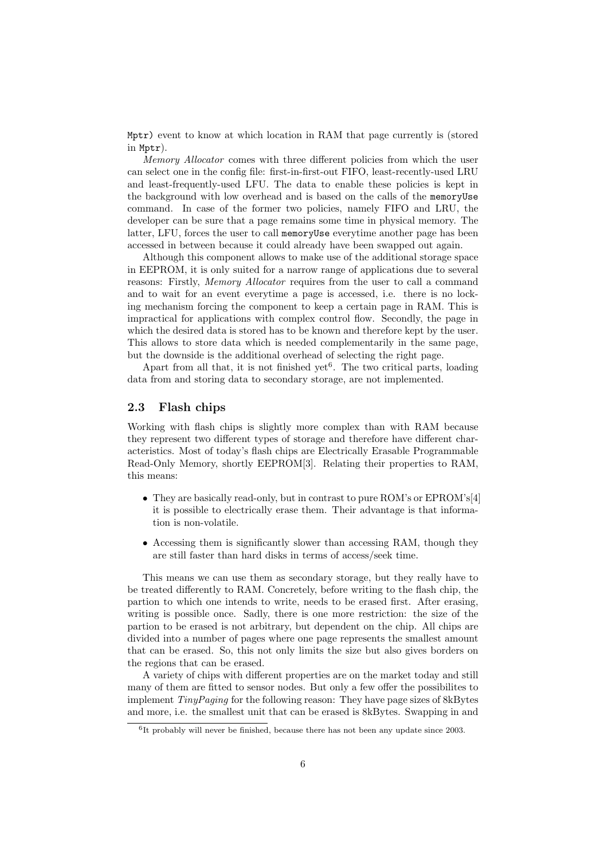Mptr) event to know at which location in RAM that page currently is (stored in Mptr).

Memory Allocator comes with three different policies from which the user can select one in the config file: first-in-first-out FIFO, least-recently-used LRU and least-frequently-used LFU. The data to enable these policies is kept in the background with low overhead and is based on the calls of the memoryUse command. In case of the former two policies, namely FIFO and LRU, the developer can be sure that a page remains some time in physical memory. The latter, LFU, forces the user to call memoryUse everytime another page has been accessed in between because it could already have been swapped out again.

Although this component allows to make use of the additional storage space in EEPROM, it is only suited for a narrow range of applications due to several reasons: Firstly, Memory Allocator requires from the user to call a command and to wait for an event everytime a page is accessed, i.e. there is no locking mechanism forcing the component to keep a certain page in RAM. This is impractical for applications with complex control flow. Secondly, the page in which the desired data is stored has to be known and therefore kept by the user. This allows to store data which is needed complementarily in the same page, but the downside is the additional overhead of selecting the right page.

Apart from all that, it is not finished yet<sup>6</sup>. The two critical parts, loading data from and storing data to secondary storage, are not implemented.

#### 2.3 Flash chips

Working with flash chips is slightly more complex than with RAM because they represent two different types of storage and therefore have different characteristics. Most of today's flash chips are Electrically Erasable Programmable Read-Only Memory, shortly EEPROM[3]. Relating their properties to RAM, this means:

- They are basically read-only, but in contrast to pure ROM's or EPROM's[4] it is possible to electrically erase them. Their advantage is that information is non-volatile.
- Accessing them is significantly slower than accessing RAM, though they are still faster than hard disks in terms of access/seek time.

This means we can use them as secondary storage, but they really have to be treated differently to RAM. Concretely, before writing to the flash chip, the partion to which one intends to write, needs to be erased first. After erasing, writing is possible once. Sadly, there is one more restriction: the size of the partion to be erased is not arbitrary, but dependent on the chip. All chips are divided into a number of pages where one page represents the smallest amount that can be erased. So, this not only limits the size but also gives borders on the regions that can be erased.

A variety of chips with different properties are on the market today and still many of them are fitted to sensor nodes. But only a few offer the possibilites to implement TinyPaging for the following reason: They have page sizes of 8kBytes and more, i.e. the smallest unit that can be erased is 8kBytes. Swapping in and

 ${}^{6}$ It probably will never be finished, because there has not been any update since 2003.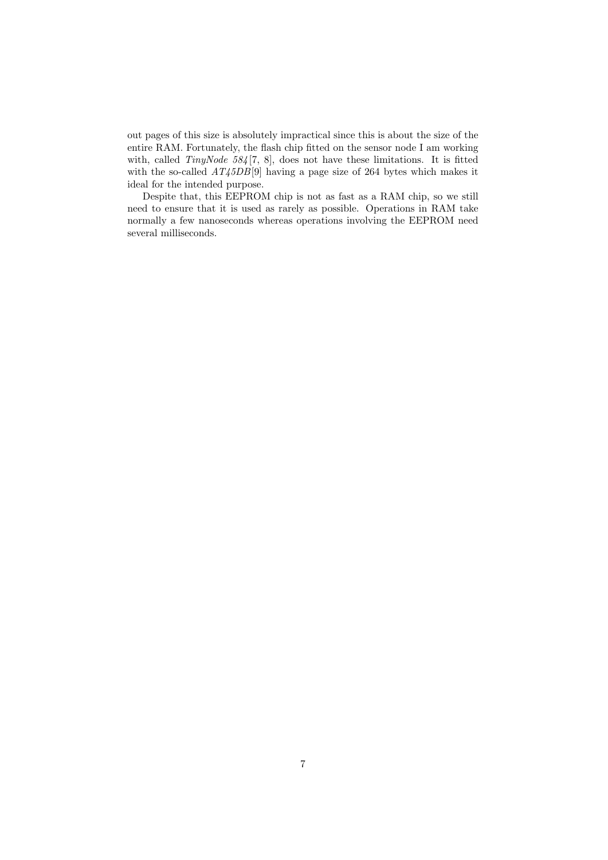out pages of this size is absolutely impractical since this is about the size of the entire RAM. Fortunately, the flash chip fitted on the sensor node I am working with, called  $TinyNode\ 584[7, 8]$ , does not have these limitations. It is fitted with the so-called  $AT45DB[9]$  having a page size of 264 bytes which makes it ideal for the intended purpose.

Despite that, this EEPROM chip is not as fast as a RAM chip, so we still need to ensure that it is used as rarely as possible. Operations in RAM take normally a few nanoseconds whereas operations involving the EEPROM need several milliseconds.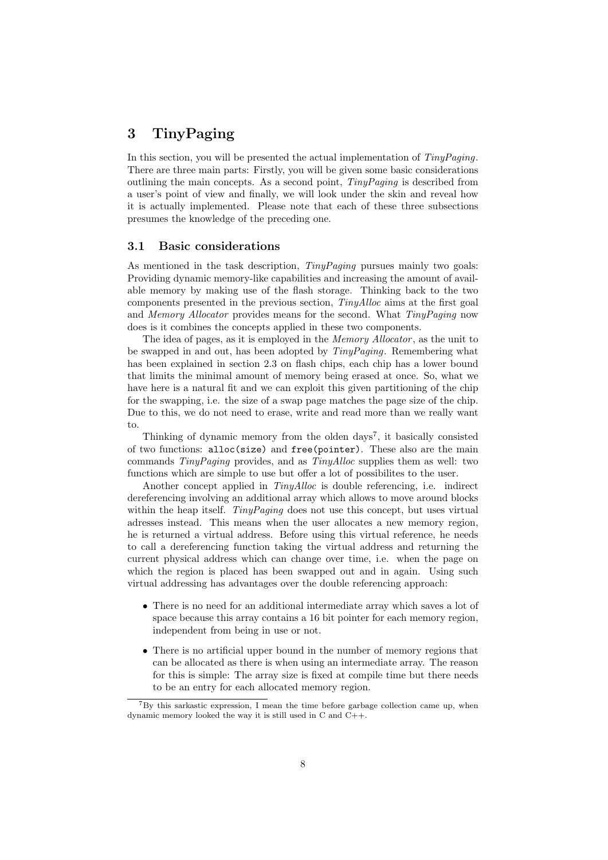## 3 TinyPaging

In this section, you will be presented the actual implementation of  $TinyPaqina$ . There are three main parts: Firstly, you will be given some basic considerations outlining the main concepts. As a second point, TinyPaging is described from a user's point of view and finally, we will look under the skin and reveal how it is actually implemented. Please note that each of these three subsections presumes the knowledge of the preceding one.

#### 3.1 Basic considerations

As mentioned in the task description,  $TinyPaging$  pursues mainly two goals: Providing dynamic memory-like capabilities and increasing the amount of available memory by making use of the flash storage. Thinking back to the two components presented in the previous section, TinyAlloc aims at the first goal and Memory Allocator provides means for the second. What TinyPaging now does is it combines the concepts applied in these two components.

The idea of pages, as it is employed in the *Memory Allocator*, as the unit to be swapped in and out, has been adopted by TinyPaging. Remembering what has been explained in section 2.3 on flash chips, each chip has a lower bound that limits the minimal amount of memory being erased at once. So, what we have here is a natural fit and we can exploit this given partitioning of the chip for the swapping, i.e. the size of a swap page matches the page size of the chip. Due to this, we do not need to erase, write and read more than we really want to.

Thinking of dynamic memory from the olden days<sup>7</sup>, it basically consisted of two functions: alloc(size) and free(pointer). These also are the main commands  $TinyPaqing$  provides, and as  $TinyAlloc$  supplies them as well: two functions which are simple to use but offer a lot of possibilites to the user.

Another concept applied in *TinyAlloc* is double referencing, i.e. indirect dereferencing involving an additional array which allows to move around blocks within the heap itself.  $TinyPaging$  does not use this concept, but uses virtual adresses instead. This means when the user allocates a new memory region, he is returned a virtual address. Before using this virtual reference, he needs to call a dereferencing function taking the virtual address and returning the current physical address which can change over time, i.e. when the page on which the region is placed has been swapped out and in again. Using such virtual addressing has advantages over the double referencing approach:

- There is no need for an additional intermediate array which saves a lot of space because this array contains a 16 bit pointer for each memory region, independent from being in use or not.
- There is no artificial upper bound in the number of memory regions that can be allocated as there is when using an intermediate array. The reason for this is simple: The array size is fixed at compile time but there needs to be an entry for each allocated memory region.

 ${}^{7}$ By this sarkastic expression, I mean the time before garbage collection came up, when dynamic memory looked the way it is still used in C and C++.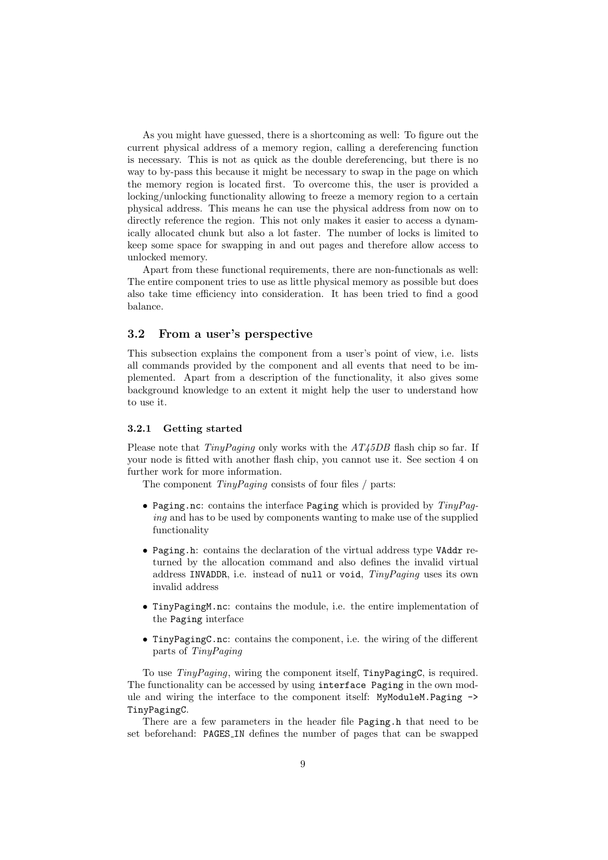As you might have guessed, there is a shortcoming as well: To figure out the current physical address of a memory region, calling a dereferencing function is necessary. This is not as quick as the double dereferencing, but there is no way to by-pass this because it might be necessary to swap in the page on which the memory region is located first. To overcome this, the user is provided a locking/unlocking functionality allowing to freeze a memory region to a certain physical address. This means he can use the physical address from now on to directly reference the region. This not only makes it easier to access a dynamically allocated chunk but also a lot faster. The number of locks is limited to keep some space for swapping in and out pages and therefore allow access to unlocked memory.

Apart from these functional requirements, there are non-functionals as well: The entire component tries to use as little physical memory as possible but does also take time efficiency into consideration. It has been tried to find a good balance.

#### 3.2 From a user's perspective

This subsection explains the component from a user's point of view, i.e. lists all commands provided by the component and all events that need to be implemented. Apart from a description of the functionality, it also gives some background knowledge to an extent it might help the user to understand how to use it.

#### 3.2.1 Getting started

Please note that  $TinyPaging$  only works with the  $AT45DB$  flash chip so far. If your node is fitted with another flash chip, you cannot use it. See section 4 on further work for more information.

The component *TinyPaging* consists of four files / parts:

- Paging.nc: contains the interface Paging which is provided by  $TinyPag$ ing and has to be used by components wanting to make use of the supplied functionality
- Paging.h: contains the declaration of the virtual address type VAddr returned by the allocation command and also defines the invalid virtual address INVADDR, i.e. instead of null or void, TinyPaging uses its own invalid address
- TinyPagingM.nc: contains the module, i.e. the entire implementation of the Paging interface
- TinyPagingC.nc: contains the component, i.e. the wiring of the different parts of TinyPaging

To use *TinyPaging*, wiring the component itself, TinyPagingC, is required. The functionality can be accessed by using interface Paging in the own module and wiring the interface to the component itself: MyModuleM.Paging -> TinyPagingC.

There are a few parameters in the header file Paging.h that need to be set beforehand: PAGES IN defines the number of pages that can be swapped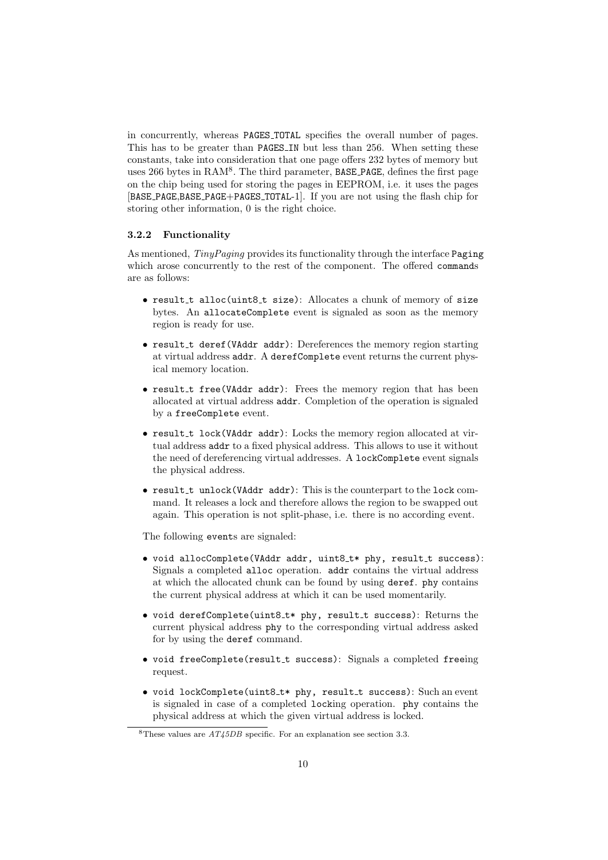in concurrently, whereas PAGES TOTAL specifies the overall number of pages. This has to be greater than PAGES IN but less than 256. When setting these constants, take into consideration that one page offers 232 bytes of memory but uses 266 bytes in RAM<sup>8</sup>. The third parameter, BASE PAGE, defines the first page on the chip being used for storing the pages in EEPROM, i.e. it uses the pages [BASE PAGE,BASE PAGE+PAGES TOTAL-1]. If you are not using the flash chip for storing other information, 0 is the right choice.

#### 3.2.2 Functionality

As mentioned, TinyPaging provides its functionality through the interface Paging which arose concurrently to the rest of the component. The offered commands are as follows:

- result\_t alloc(uint8\_t size): Allocates a chunk of memory of size bytes. An allocateComplete event is signaled as soon as the memory region is ready for use.
- result\_t deref(VAddr addr): Dereferences the memory region starting at virtual address addr. A derefComplete event returns the current physical memory location.
- result\_t free(VAddr addr): Frees the memory region that has been allocated at virtual address addr. Completion of the operation is signaled by a freeComplete event.
- result\_t lock(VAddr addr): Locks the memory region allocated at virtual address addr to a fixed physical address. This allows to use it without the need of dereferencing virtual addresses. A lockComplete event signals the physical address.
- $\bullet$  result\_t unlock(VAddr addr): This is the counterpart to the lock command. It releases a lock and therefore allows the region to be swapped out again. This operation is not split-phase, i.e. there is no according event.

The following events are signaled:

- void allocComplete(VAddr addr, uint8\_t\* phy, result\_t success): Signals a completed alloc operation. addr contains the virtual address at which the allocated chunk can be found by using deref. phy contains the current physical address at which it can be used momentarily.
- void derefComplete(uint8\_t\* phy, result\_t success): Returns the current physical address phy to the corresponding virtual address asked for by using the deref command.
- void freeComplete(result\_t success): Signals a completed freeing request.
- void lockComplete(uint8\_t\* phy, result\_t success): Such an event is signaled in case of a completed locking operation. phy contains the physical address at which the given virtual address is locked.

<sup>&</sup>lt;sup>8</sup>These values are  $AT45DB$  specific. For an explanation see section 3.3.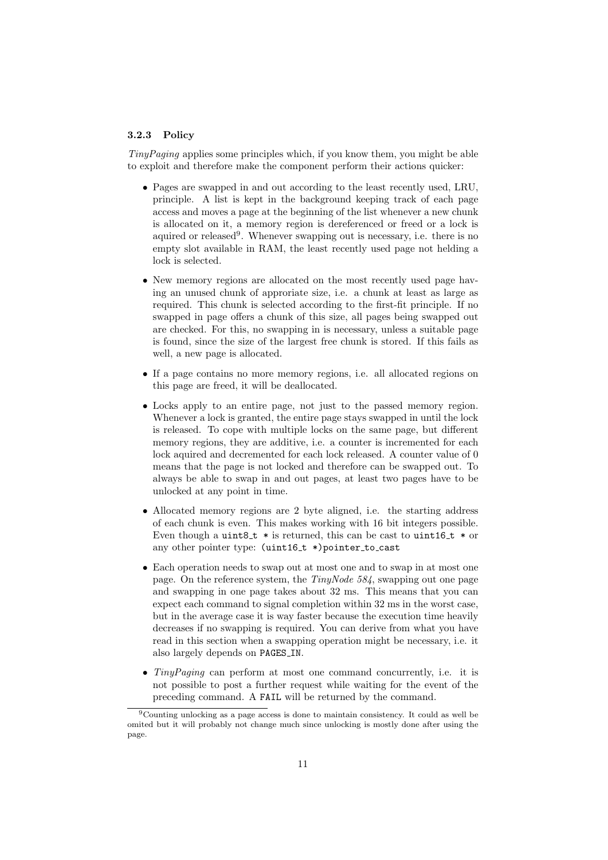#### 3.2.3 Policy

 $TinyPaging$  applies some principles which, if you know them, you might be able to exploit and therefore make the component perform their actions quicker:

- Pages are swapped in and out according to the least recently used, LRU, principle. A list is kept in the background keeping track of each page access and moves a page at the beginning of the list whenever a new chunk is allocated on it, a memory region is dereferenced or freed or a lock is aquired or released<sup>9</sup>. Whenever swapping out is necessary, i.e. there is no empty slot available in RAM, the least recently used page not helding a lock is selected.
- New memory regions are allocated on the most recently used page having an unused chunk of approriate size, i.e. a chunk at least as large as required. This chunk is selected according to the first-fit principle. If no swapped in page offers a chunk of this size, all pages being swapped out are checked. For this, no swapping in is necessary, unless a suitable page is found, since the size of the largest free chunk is stored. If this fails as well, a new page is allocated.
- If a page contains no more memory regions, i.e. all allocated regions on this page are freed, it will be deallocated.
- Locks apply to an entire page, not just to the passed memory region. Whenever a lock is granted, the entire page stays swapped in until the lock is released. To cope with multiple locks on the same page, but different memory regions, they are additive, i.e. a counter is incremented for each lock aquired and decremented for each lock released. A counter value of 0 means that the page is not locked and therefore can be swapped out. To always be able to swap in and out pages, at least two pages have to be unlocked at any point in time.
- Allocated memory regions are 2 byte aligned, i.e. the starting address of each chunk is even. This makes working with 16 bit integers possible. Even though a uint 8 t  $*$  is returned, this can be cast to uint 16 t  $*$  or any other pointer type: (uint16\_t \*)pointer\_to\_cast
- Each operation needs to swap out at most one and to swap in at most one page. On the reference system, the TinyNode 584, swapping out one page and swapping in one page takes about 32 ms. This means that you can expect each command to signal completion within 32 ms in the worst case, but in the average case it is way faster because the execution time heavily decreases if no swapping is required. You can derive from what you have read in this section when a swapping operation might be necessary, i.e. it also largely depends on PAGES IN.
- *TinyPaging* can perform at most one command concurrently, i.e. it is not possible to post a further request while waiting for the event of the preceding command. A FAIL will be returned by the command.

<sup>9</sup>Counting unlocking as a page access is done to maintain consistency. It could as well be omited but it will probably not change much since unlocking is mostly done after using the page.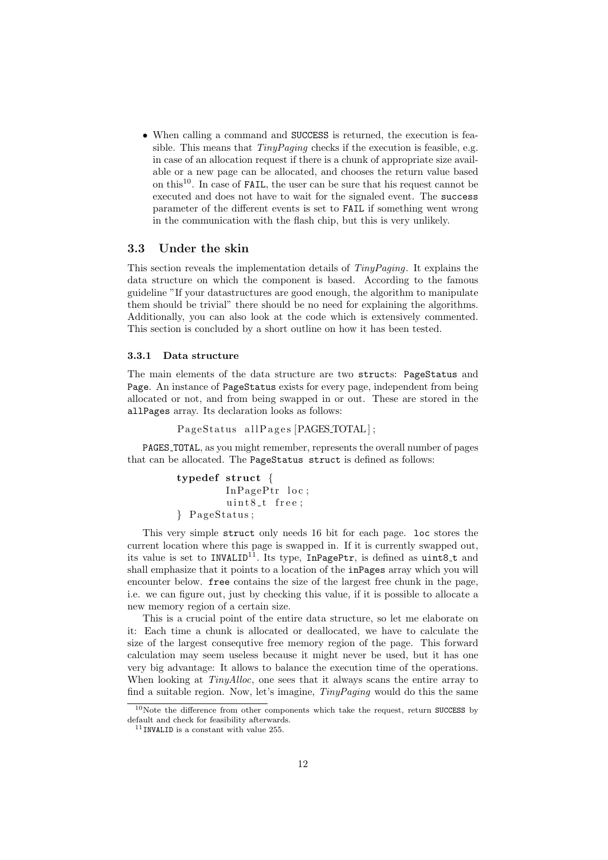• When calling a command and SUCCESS is returned, the execution is feasible. This means that  $TinyPaging$  checks if the execution is feasible, e.g. in case of an allocation request if there is a chunk of appropriate size available or a new page can be allocated, and chooses the return value based on this<sup>10</sup>. In case of **FAIL**, the user can be sure that his request cannot be executed and does not have to wait for the signaled event. The success parameter of the different events is set to FAIL if something went wrong in the communication with the flash chip, but this is very unlikely.

#### 3.3 Under the skin

This section reveals the implementation details of TinyPaging. It explains the data structure on which the component is based. According to the famous guideline "If your datastructures are good enough, the algorithm to manipulate them should be trivial" there should be no need for explaining the algorithms. Additionally, you can also look at the code which is extensively commented. This section is concluded by a short outline on how it has been tested.

#### 3.3.1 Data structure

The main elements of the data structure are two structs: PageStatus and Page. An instance of PageStatus exists for every page, independent from being allocated or not, and from being swapped in or out. These are stored in the allPages array. Its declaration looks as follows:

```
PageStatus allPages [PAGES_TOTAL];
```
PAGES TOTAL, as you might remember, represents the overall number of pages that can be allocated. The PageStatus struct is defined as follows:

```
typedef struct {
        InPagePtr loc;
        uint8_t free;
} PageStatus;
```
This very simple struct only needs 16 bit for each page. loc stores the current location where this page is swapped in. If it is currently swapped out, its value is set to INVALID<sup>11</sup>. Its type, InPagePtr, is defined as  $uint8_t$  and shall emphasize that it points to a location of the inPages array which you will encounter below. free contains the size of the largest free chunk in the page, i.e. we can figure out, just by checking this value, if it is possible to allocate a new memory region of a certain size.

This is a crucial point of the entire data structure, so let me elaborate on it: Each time a chunk is allocated or deallocated, we have to calculate the size of the largest consequtive free memory region of the page. This forward calculation may seem useless because it might never be used, but it has one very big advantage: It allows to balance the execution time of the operations. When looking at  $T_{inu}$ *Alloc*, one sees that it always scans the entire array to find a suitable region. Now, let's imagine,  $TinyPaging$  would do this the same

 $10$ Note the difference from other components which take the request, return SUCCESS by default and check for feasibility afterwards.

 $^{11}\!$  INVALID is a constant with value 255.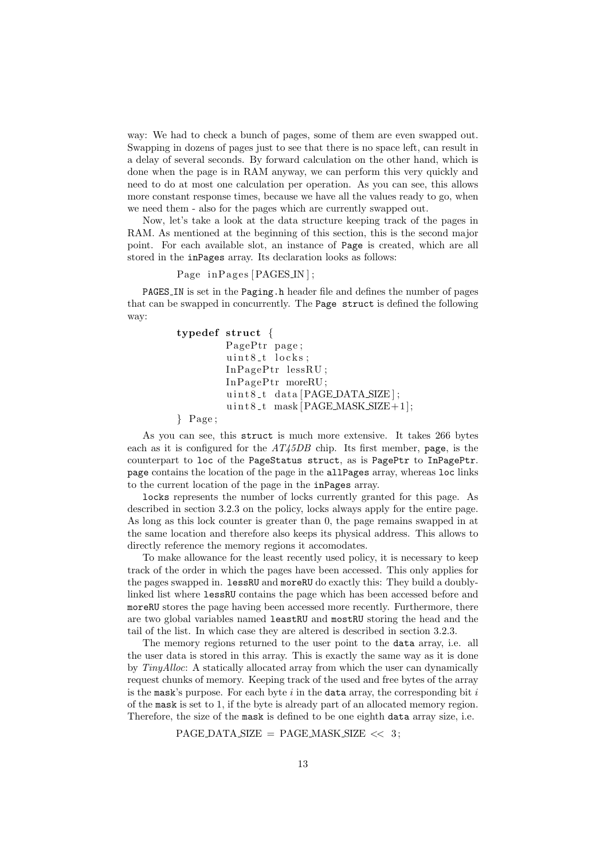way: We had to check a bunch of pages, some of them are even swapped out. Swapping in dozens of pages just to see that there is no space left, can result in a delay of several seconds. By forward calculation on the other hand, which is done when the page is in RAM anyway, we can perform this very quickly and need to do at most one calculation per operation. As you can see, this allows more constant response times, because we have all the values ready to go, when we need them - also for the pages which are currently swapped out.

Now, let's take a look at the data structure keeping track of the pages in RAM. As mentioned at the beginning of this section, this is the second major point. For each available slot, an instance of Page is created, which are all stored in the inPages array. Its declaration looks as follows:

Page inPages [PAGES\_IN];

PAGES IN is set in the Paging.h header file and defines the number of pages that can be swapped in concurrently. The Page struct is defined the following way:

```
typedef struct {
        PagePtr page ;
         uint8_t locks:
        InPagePtr lessRU ;
        InPagePtr moreRU ;
         uint8_t data [PAGE_DATA_SIZE];
         uint 8_t mask [PAGE_MASK_SIZE+1];
} Page ;
```
As you can see, this struct is much more extensive. It takes 266 bytes each as it is configured for the  $AT45DB$  chip. Its first member, page, is the counterpart to loc of the PageStatus struct, as is PagePtr to InPagePtr. page contains the location of the page in the allPages array, whereas loc links to the current location of the page in the inPages array.

locks represents the number of locks currently granted for this page. As described in section 3.2.3 on the policy, locks always apply for the entire page. As long as this lock counter is greater than 0, the page remains swapped in at the same location and therefore also keeps its physical address. This allows to directly reference the memory regions it accomodates.

To make allowance for the least recently used policy, it is necessary to keep track of the order in which the pages have been accessed. This only applies for the pages swapped in. lessRU and moreRU do exactly this: They build a doublylinked list where lessRU contains the page which has been accessed before and moreRU stores the page having been accessed more recently. Furthermore, there are two global variables named leastRU and mostRU storing the head and the tail of the list. In which case they are altered is described in section 3.2.3.

The memory regions returned to the user point to the data array, i.e. all the user data is stored in this array. This is exactly the same way as it is done by TinyAlloc: A statically allocated array from which the user can dynamically request chunks of memory. Keeping track of the used and free bytes of the array is the mask's purpose. For each byte  $i$  in the data array, the corresponding bit  $i$ of the mask is set to 1, if the byte is already part of an allocated memory region. Therefore, the size of the mask is defined to be one eighth data array size, i.e.

 $PAGE\_DATA$  SIZE =  $PAGE\_MASK$  SIZE << 3: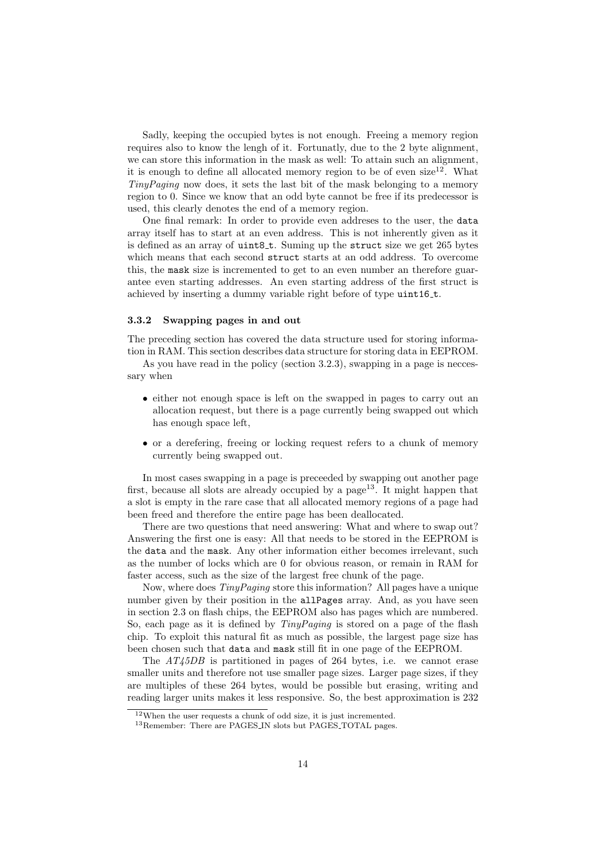Sadly, keeping the occupied bytes is not enough. Freeing a memory region requires also to know the lengh of it. Fortunatly, due to the 2 byte alignment, we can store this information in the mask as well: To attain such an alignment, it is enough to define all allocated memory region to be of even  $size^{12}$ . What  $TinyPaging$  now does, it sets the last bit of the mask belonging to a memory region to 0. Since we know that an odd byte cannot be free if its predecessor is used, this clearly denotes the end of a memory region.

One final remark: In order to provide even addreses to the user, the data array itself has to start at an even address. This is not inherently given as it is defined as an array of uint8\_t. Suming up the struct size we get 265 bytes which means that each second struct starts at an odd address. To overcome this, the mask size is incremented to get to an even number an therefore guarantee even starting addresses. An even starting address of the first struct is achieved by inserting a dummy variable right before of type uint16\_t.

#### 3.3.2 Swapping pages in and out

The preceding section has covered the data structure used for storing information in RAM. This section describes data structure for storing data in EEPROM.

As you have read in the policy (section 3.2.3), swapping in a page is neccessary when

- either not enough space is left on the swapped in pages to carry out an allocation request, but there is a page currently being swapped out which has enough space left,
- or a derefering, freeing or locking request refers to a chunk of memory currently being swapped out.

In most cases swapping in a page is preceeded by swapping out another page first, because all slots are already occupied by a page<sup>13</sup>. It might happen that a slot is empty in the rare case that all allocated memory regions of a page had been freed and therefore the entire page has been deallocated.

There are two questions that need answering: What and where to swap out? Answering the first one is easy: All that needs to be stored in the EEPROM is the data and the mask. Any other information either becomes irrelevant, such as the number of locks which are 0 for obvious reason, or remain in RAM for faster access, such as the size of the largest free chunk of the page.

Now, where does TinyPaging store this information? All pages have a unique number given by their position in the allPages array. And, as you have seen in section 2.3 on flash chips, the EEPROM also has pages which are numbered. So, each page as it is defined by  $TinyPaging$  is stored on a page of the flash chip. To exploit this natural fit as much as possible, the largest page size has been chosen such that data and mask still fit in one page of the EEPROM.

The  $AT45DB$  is partitioned in pages of 264 bytes, i.e. we cannot erase smaller units and therefore not use smaller page sizes. Larger page sizes, if they are multiples of these 264 bytes, would be possible but erasing, writing and reading larger units makes it less responsive. So, the best approximation is 232

<sup>12</sup>When the user requests a chunk of odd size, it is just incremented.

<sup>&</sup>lt;sup>13</sup>Remember: There are PAGES<sub>IN</sub> slots but PAGES<sub>IOTAL</sub> pages.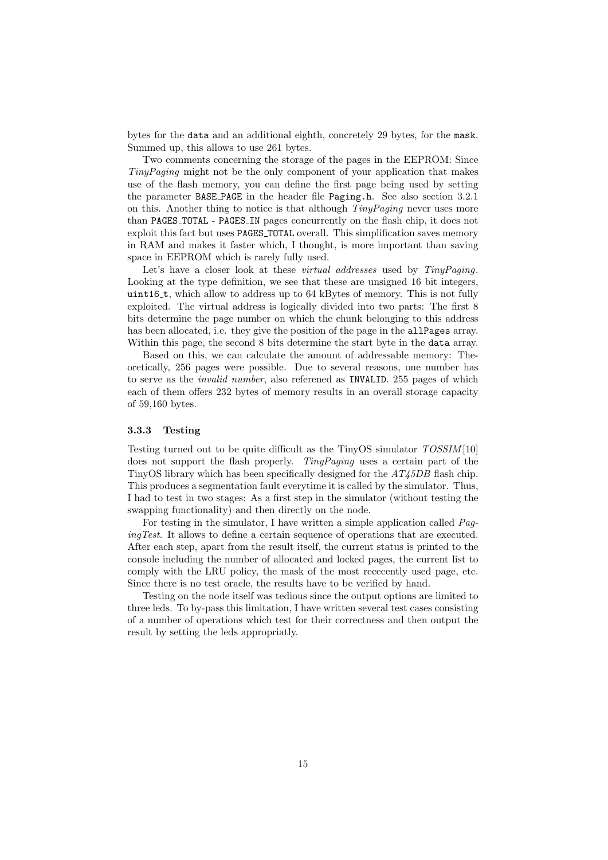bytes for the data and an additional eighth, concretely 29 bytes, for the mask. Summed up, this allows to use 261 bytes.

Two comments concerning the storage of the pages in the EEPROM: Since TinyPaging might not be the only component of your application that makes use of the flash memory, you can define the first page being used by setting the parameter BASE PAGE in the header file Paging.h. See also section 3.2.1 on this. Another thing to notice is that although  $T_{iny}$  paging never uses more than PAGES TOTAL - PAGES IN pages concurrently on the flash chip, it does not exploit this fact but uses PAGES TOTAL overall. This simplification saves memory in RAM and makes it faster which, I thought, is more important than saving space in EEPROM which is rarely fully used.

Let's have a closer look at these *virtual addresses* used by *TinyPaging*. Looking at the type definition, we see that these are unsigned 16 bit integers, uint16<sub>-t</sub>, which allow to address up to  $64$  kBytes of memory. This is not fully exploited. The virtual address is logically divided into two parts: The first 8 bits determine the page number on which the chunk belonging to this address has been allocated, i.e. they give the position of the page in the allPages array. Within this page, the second 8 bits determine the start byte in the **data** array.

Based on this, we can calculate the amount of addressable memory: Theoretically, 256 pages were possible. Due to several reasons, one number has to serve as the invalid number, also referened as INVALID. 255 pages of which each of them offers 232 bytes of memory results in an overall storage capacity of 59,160 bytes.

#### 3.3.3 Testing

Testing turned out to be quite difficult as the TinyOS simulator TOSSIM [10] does not support the flash properly. TinyPaging uses a certain part of the TinyOS library which has been specifically designed for the AT45DB flash chip. This produces a segmentation fault everytime it is called by the simulator. Thus, I had to test in two stages: As a first step in the simulator (without testing the swapping functionality) and then directly on the node.

For testing in the simulator, I have written a simple application called PagingTest. It allows to define a certain sequence of operations that are executed. After each step, apart from the result itself, the current status is printed to the console including the number of allocated and locked pages, the current list to comply with the LRU policy, the mask of the most rececently used page, etc. Since there is no test oracle, the results have to be verified by hand.

Testing on the node itself was tedious since the output options are limited to three leds. To by-pass this limitation, I have written several test cases consisting of a number of operations which test for their correctness and then output the result by setting the leds appropriatly.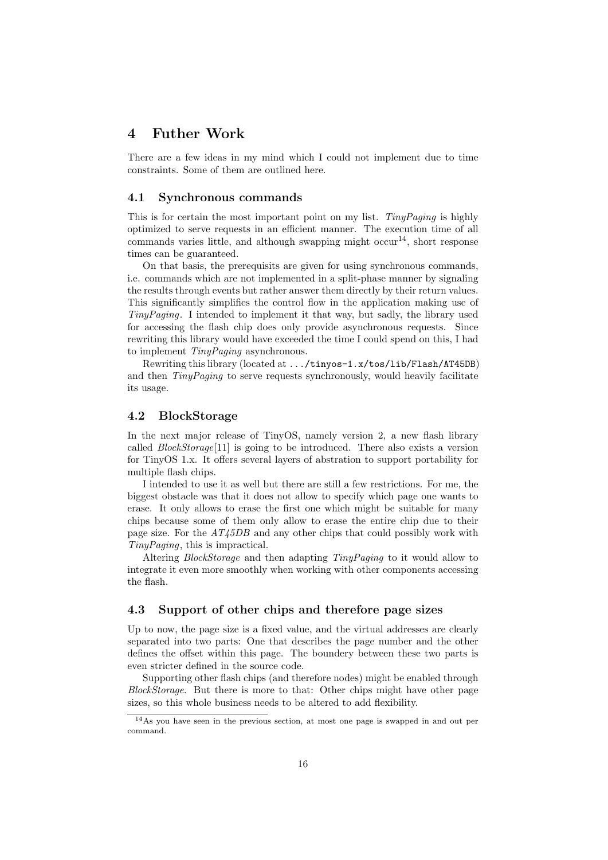## 4 Futher Work

There are a few ideas in my mind which I could not implement due to time constraints. Some of them are outlined here.

#### 4.1 Synchronous commands

This is for certain the most important point on my list. TinyPaging is highly optimized to serve requests in an efficient manner. The execution time of all commands varies little, and although swapping might  $\mathrm{occur}^{14}$ , short response times can be guaranteed.

On that basis, the prerequisits are given for using synchronous commands, i.e. commands which are not implemented in a split-phase manner by signaling the results through events but rather answer them directly by their return values. This significantly simplifies the control flow in the application making use of TinyPaging. I intended to implement it that way, but sadly, the library used for accessing the flash chip does only provide asynchronous requests. Since rewriting this library would have exceeded the time I could spend on this, I had to implement TinyPaging asynchronous.

Rewriting this library (located at .../tinyos-1.x/tos/lib/Flash/AT45DB) and then *TinyPaging* to serve requests synchronously, would heavily facilitate its usage.

#### 4.2 BlockStorage

In the next major release of TinyOS, namely version 2, a new flash library called *BlockStorage*<sup>[11]</sup> is going to be introduced. There also exists a version for TinyOS 1.x. It offers several layers of abstration to support portability for multiple flash chips.

I intended to use it as well but there are still a few restrictions. For me, the biggest obstacle was that it does not allow to specify which page one wants to erase. It only allows to erase the first one which might be suitable for many chips because some of them only allow to erase the entire chip due to their page size. For the  $AT45DB$  and any other chips that could possibly work with TinyPaging, this is impractical.

Altering BlockStorage and then adapting TinyPaging to it would allow to integrate it even more smoothly when working with other components accessing the flash.

#### 4.3 Support of other chips and therefore page sizes

Up to now, the page size is a fixed value, and the virtual addresses are clearly separated into two parts: One that describes the page number and the other defines the offset within this page. The boundery between these two parts is even stricter defined in the source code.

Supporting other flash chips (and therefore nodes) might be enabled through BlockStorage. But there is more to that: Other chips might have other page sizes, so this whole business needs to be altered to add flexibility.

 $14As$  you have seen in the previous section, at most one page is swapped in and out per command.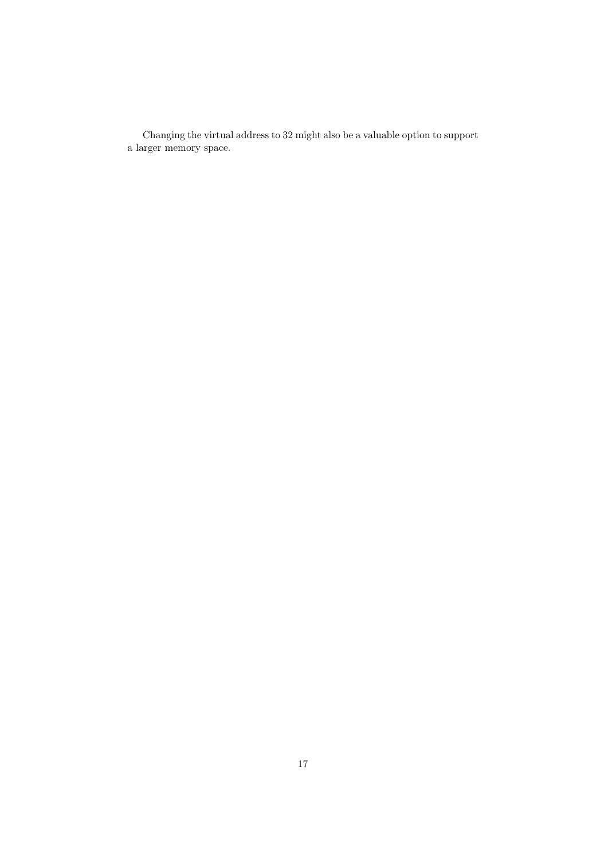Changing the virtual address to 32 might also be a valuable option to support a larger memory space.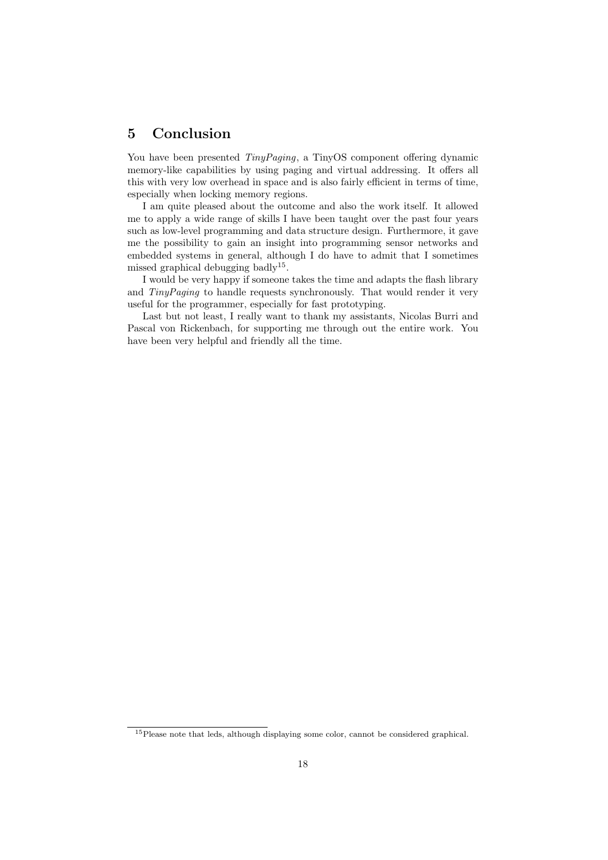## 5 Conclusion

You have been presented *TinyPaging*, a TinyOS component offering dynamic memory-like capabilities by using paging and virtual addressing. It offers all this with very low overhead in space and is also fairly efficient in terms of time, especially when locking memory regions.

I am quite pleased about the outcome and also the work itself. It allowed me to apply a wide range of skills I have been taught over the past four years such as low-level programming and data structure design. Furthermore, it gave me the possibility to gain an insight into programming sensor networks and embedded systems in general, although I do have to admit that I sometimes missed graphical debugging badly<sup>15</sup>.

I would be very happy if someone takes the time and adapts the flash library and TinyPaging to handle requests synchronously. That would render it very useful for the programmer, especially for fast prototyping.

Last but not least, I really want to thank my assistants, Nicolas Burri and Pascal von Rickenbach, for supporting me through out the entire work. You have been very helpful and friendly all the time.

<sup>15</sup>Please note that leds, although displaying some color, cannot be considered graphical.